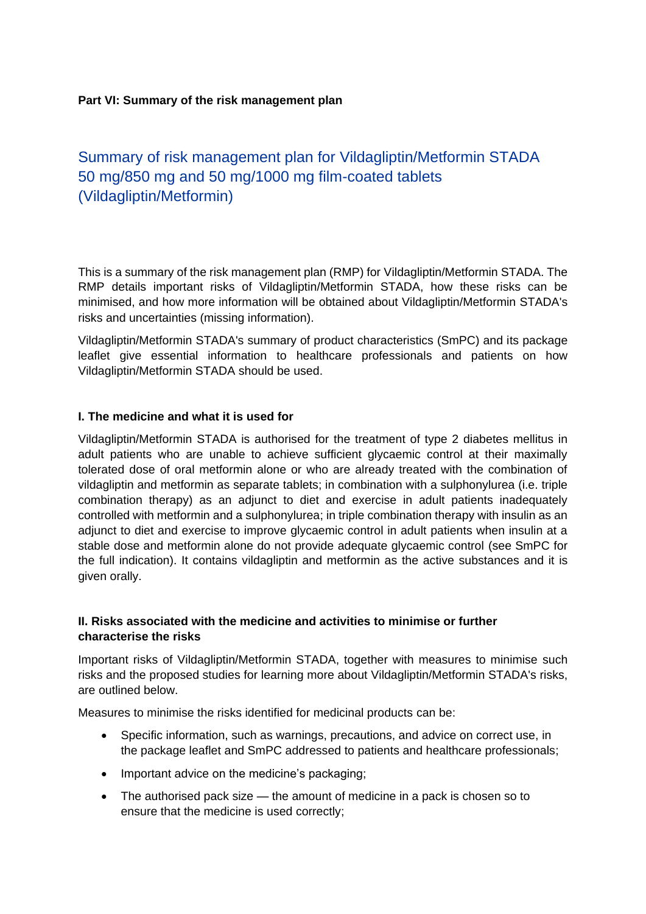#### **Part VI: Summary of the risk management plan**

# Summary of risk management plan for Vildagliptin/Metformin STADA 50 mg/850 mg and 50 mg/1000 mg film-coated tablets (Vildagliptin/Metformin)

This is a summary of the risk management plan (RMP) for Vildagliptin/Metformin STADA. The RMP details important risks of Vildagliptin/Metformin STADA, how these risks can be minimised, and how more information will be obtained about Vildagliptin/Metformin STADA's risks and uncertainties (missing information).

Vildagliptin/Metformin STADA's summary of product characteristics (SmPC) and its package leaflet give essential information to healthcare professionals and patients on how Vildagliptin/Metformin STADA should be used.

#### **I. The medicine and what it is used for**

Vildagliptin/Metformin STADA is authorised for the treatment of type 2 diabetes mellitus in adult patients who are unable to achieve sufficient glycaemic control at their maximally tolerated dose of oral metformin alone or who are already treated with the combination of vildagliptin and metformin as separate tablets; in combination with a sulphonylurea (i.e. triple combination therapy) as an adjunct to diet and exercise in adult patients inadequately controlled with metformin and a sulphonylurea; in triple combination therapy with insulin as an adjunct to diet and exercise to improve glycaemic control in adult patients when insulin at a stable dose and metformin alone do not provide adequate glycaemic control (see SmPC for the full indication). It contains vildagliptin and metformin as the active substances and it is given orally.

#### **II. Risks associated with the medicine and activities to minimise or further characterise the risks**

Important risks of Vildagliptin/Metformin STADA, together with measures to minimise such risks and the proposed studies for learning more about Vildagliptin/Metformin STADA's risks, are outlined below.

Measures to minimise the risks identified for medicinal products can be:

- Specific information, such as warnings, precautions, and advice on correct use, in the package leaflet and SmPC addressed to patients and healthcare professionals;
- Important advice on the medicine's packaging;
- The authorised pack size the amount of medicine in a pack is chosen so to ensure that the medicine is used correctly;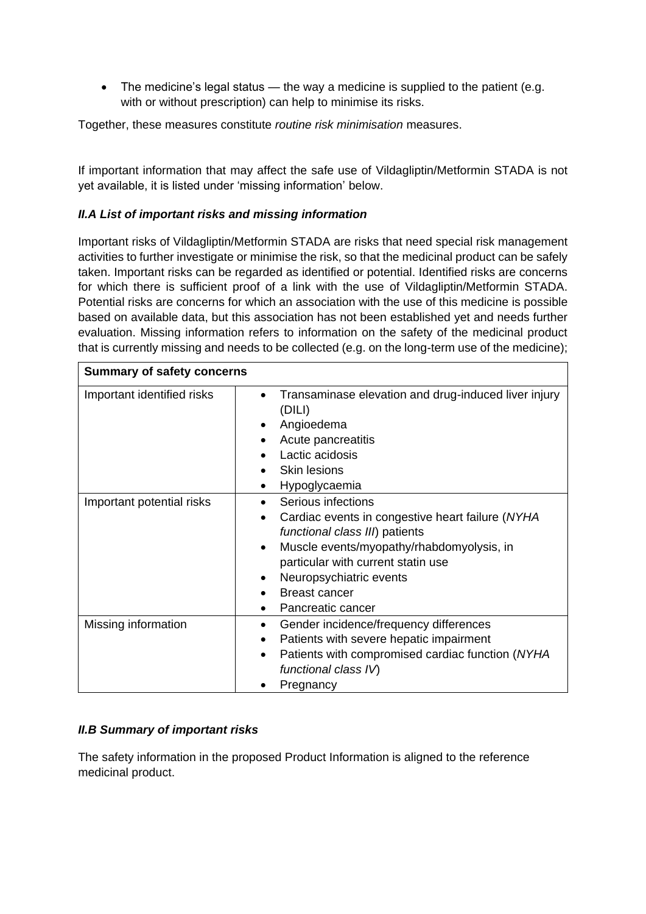• The medicine's legal status — the way a medicine is supplied to the patient (e.g. with or without prescription) can help to minimise its risks.

Together, these measures constitute *routine risk minimisation* measures.

If important information that may affect the safe use of Vildagliptin/Metformin STADA is not yet available, it is listed under 'missing information' below.

# *II.A List of important risks and missing information*

Important risks of Vildagliptin/Metformin STADA are risks that need special risk management activities to further investigate or minimise the risk, so that the medicinal product can be safely taken. Important risks can be regarded as identified or potential. Identified risks are concerns for which there is sufficient proof of a link with the use of Vildagliptin/Metformin STADA. Potential risks are concerns for which an association with the use of this medicine is possible based on available data, but this association has not been established yet and needs further evaluation. Missing information refers to information on the safety of the medicinal product that is currently missing and needs to be collected (e.g. on the long-term use of the medicine);

| <b>Summary of safety concerns</b> |                                                                                                                                                                                                                                                                                                                              |
|-----------------------------------|------------------------------------------------------------------------------------------------------------------------------------------------------------------------------------------------------------------------------------------------------------------------------------------------------------------------------|
| Important identified risks        | Transaminase elevation and drug-induced liver injury<br>$\bullet$<br>(DILI)<br>Angioedema<br>Acute pancreatitis<br>Lactic acidosis<br><b>Skin lesions</b><br>Hypoglycaemia<br>٠                                                                                                                                              |
| Important potential risks         | Serious infections<br>$\bullet$<br>Cardiac events in congestive heart failure (NYHA<br>$\bullet$<br>functional class III) patients<br>Muscle events/myopathy/rhabdomyolysis, in<br>$\bullet$<br>particular with current statin use<br>Neuropsychiatric events<br>٠<br><b>Breast cancer</b><br>Pancreatic cancer<br>$\bullet$ |
| Missing information               | Gender incidence/frequency differences<br>$\bullet$<br>Patients with severe hepatic impairment<br>$\bullet$<br>Patients with compromised cardiac function (NYHA<br>$\bullet$<br>functional class IV)<br>Pregnancy                                                                                                            |

# *II.B Summary of important risks*

The safety information in the proposed Product Information is aligned to the reference medicinal product.